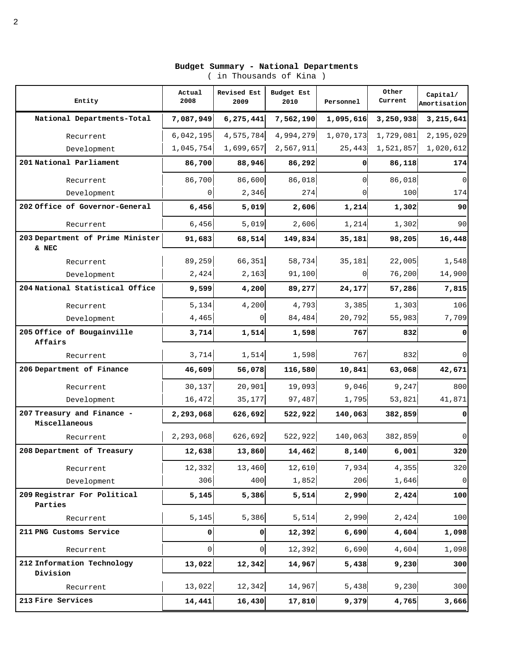| Entity                                 | Actual<br>2008 | Revised Est<br>2009 | Budget Est<br>2010 | Personnel | Other<br>Current | Capital/<br>Amortisation |
|----------------------------------------|----------------|---------------------|--------------------|-----------|------------------|--------------------------|
| National Departments-Total             | 7,087,949      | 6, 275, 441         | 7,562,190          | 1,095,616 | 3,250,938        | 3,215,641                |
| Recurrent                              | 6,042,195      | 4,575,784           | 4,994,279          | 1,070,173 | 1,729,081        | 2,195,029                |
| Development                            | 1,045,754      | 1,699,657           | 2,567,911          | 25, 443   | 1,521,857        | 1,020,612                |
| 201 National Parliament                | 86,700         | 88,946              | 86,292             | $\Omega$  | 86,118           | 174                      |
| Recurrent                              | 86,700         | 86,600              | 86,018             | $\Omega$  | 86,018           | 0                        |
| Development                            | 0              | 2,346               | 274                |           | 100              | 174                      |
| 202 Office of Governor-General         | 6,456          | 5,019               | 2,606              | 1,214     | 1,302            | 90                       |
| Recurrent                              | 6,456          | 5,019               | 2,606              | 1,214     | 1,302            | 90                       |
| 203 Department of Prime Minister       | 91,683         | 68,514              | 149,834            | 35,181    | 98,205           | 16,448                   |
| & NEC                                  | 89,259         | 66, 351             | 58,734             | 35,181    | 22,005           | 1,548                    |
| Recurrent<br>Development               | 2,424          | 2,163               | 91,100             | $\Omega$  | 76,200           | 14,900                   |
| 204 National Statistical Office        | 9,599          | 4,200               | 89,277             | 24, 177   | 57,286           | 7,815                    |
|                                        | 5,134          | 4,200               | 4,793              | 3,385     | 1,303            | 106                      |
| Recurrent<br>Development               | 4,465          | $\overline{0}$      | 84,484             | 20,792    | 55,983           | 7,709                    |
| 205 Office of Bougainville             |                |                     |                    | 767       |                  | 0                        |
| Affairs                                | 3,714          | 1,514               | 1,598              |           | 832              |                          |
| Recurrent                              | 3,714          | 1,514               | 1,598              | 767       | 832              | 0                        |
| 206 Department of Finance              | 46,609         | 56,078              | 116,580            | 10,841    | 63,068           | 42,671                   |
| Recurrent                              | 30,137         | 20,901              | 19,093             | 9,046     | 9,247            | 800                      |
| Development                            | 16,472         | 35,177              | 97,487             | 1,795     | 53,821           | 41,871                   |
| 207 Treasury and Finance -             | 2,293,068      | 626,692             | 522,922            | 140,063   | 382,859          | 0                        |
| Miscellaneous                          |                |                     |                    |           |                  |                          |
| Recurrent                              | 2,293,068      | 626,692             | 522,922            | 140,063   | 382,859          | $\Omega$                 |
| 208 Department of Treasury             | 12,638         | 13,860              | 14,462             | 8,140     | 6,001            | 320                      |
| Recurrent                              | 12,332         | 13,460              | 12,610             | 7,934     | 4,355            | 320                      |
| Development                            | 306            | 400                 | 1,852              | 206       | 1,646            | $\mathsf 0$              |
| 209 Registrar For Political<br>Parties | 5,145          | 5,386               | 5,514              | 2,990     | 2,424            | 100                      |
| Recurrent                              | 5,145          | 5,386               | 5,514              | 2,990     | 2,424            | 100                      |
| 211 PNG Customs Service                | 0              | ٥I                  | 12,392             | 6,690     | 4,604            | 1,098                    |
| Recurrent                              | 0              | $\circ$             | 12,392             | 6,690     | 4,604            | 1,098                    |
| 212 Information Technology             | 13,022         | 12,342              | 14,967             | 5,438     | 9,230            | 300                      |
| Division<br>Recurrent                  | 13,022         | 12,342              | 14,967             | 5,438     | 9,230            | 300                      |
| 213 Fire Services                      | 14,441         | 16,430              | 17,810             | 9,379     | 4,765            | 3,666                    |

**Budget Summary - National Departments**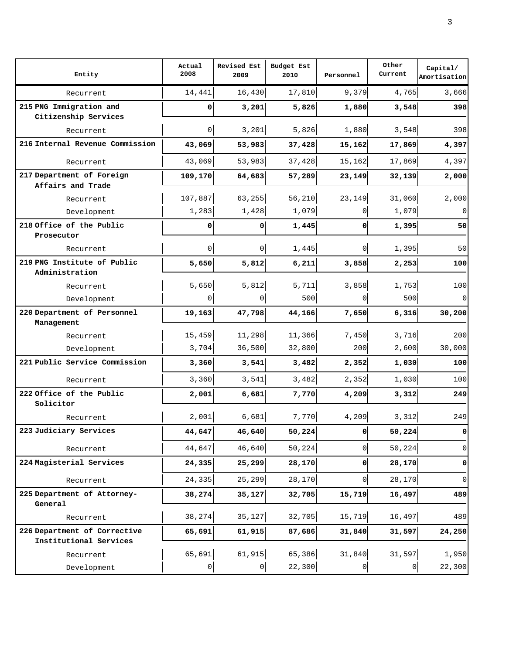| Entity                                                 | Actual<br>2008 | Revised Est<br>2009 | Budget Est<br>2010 | Personnel      | Other<br>Current | Capital/<br>Amortisation |
|--------------------------------------------------------|----------------|---------------------|--------------------|----------------|------------------|--------------------------|
| Recurrent                                              | 14,441         | 16,430              | 17,810             | 9,379          | 4,765            | 3,666                    |
| 215 PNG Immigration and<br>Citizenship Services        | 0              | 3,201               | 5,826              | 1,880          | 3,548            | 398                      |
| Recurrent                                              | 0              | 3,201               | 5,826              | 1,880          | 3,548            | 398                      |
| 216 Internal Revenue Commission                        | 43,069         | 53,983              | 37,428             | 15,162         | 17,869           | 4,397                    |
| Recurrent                                              | 43,069         | 53,983              | 37,428             | 15,162         | 17,869           | 4,397                    |
| 217 Department of Foreign                              | 109, 170       | 64,683              | 57,289             | 23,149         | 32,139           | 2,000                    |
| Affairs and Trade                                      |                |                     |                    |                |                  |                          |
| Recurrent                                              | 107,887        | 63,255              | 56,210             | 23,149         | 31,060           | 2,000                    |
| Development                                            | 1,283          | 1,428               | 1,079              |                | 1,079            | $\Omega$                 |
| 218 Office of the Public                               | $\Omega$       | οI                  | 1,445              | ٥l             | 1,395            | 50                       |
| Prosecutor                                             |                |                     |                    |                |                  |                          |
| Recurrent                                              | 0              | $\overline{0}$      | 1,445              | 0              | 1,395            | 50                       |
| 219 PNG Institute of Public                            | 5,650          | 5,812               | 6,211              | 3,858          | 2,253            | 100                      |
| Administration                                         |                |                     |                    |                |                  |                          |
| Recurrent                                              | 5,650          | 5,812               | 5,711              | 3,858          | 1,753            | 100                      |
| Development                                            | 0              | 0                   | 500                | 0              | 500              | $\Omega$                 |
| 220 Department of Personnel<br>Management              | 19,163         | 47,798              | 44,166             | 7,650          | 6,316            | 30, 200                  |
| Recurrent                                              | 15,459         | 11,298              | 11,366             | 7,450          | 3,716            | 200                      |
| Development                                            | 3,704          | 36,500              | 32,800             | 200            | 2,600            | 30,000                   |
| 221 Public Service Commission                          | 3,360          | 3,541               | 3,482              | 2,352          | 1,030            | 100                      |
| Recurrent                                              | 3,360          | 3,541               | 3,482              | 2,352          | 1,030            | 100                      |
| 222 Office of the Public                               | 2,001          | 6,681               | 7,770              | 4,209          | 3,312            | 249                      |
| Solicitor                                              |                |                     |                    |                |                  |                          |
| Recurrent                                              | 2,001          | 6,681               | 7,770              | 4,209          | 3,312            | 249                      |
| 223 Judiciary Services                                 | 44,647         | 46,640              | 50, 224            | 0              | 50,224           | 0                        |
| Recurrent                                              | 44,647         | 46,640              | 50, 224            | 0              | 50,224           | $\overline{0}$           |
| 224 Magisterial Services                               | 24,335         | 25, 299             | 28,170             | ٥l             | 28,170           | 0                        |
| Recurrent                                              | 24, 335        | 25, 299             | 28,170             | $\overline{0}$ | 28,170           | $\overline{0}$           |
| 225 Department of Attorney-                            | 38, 274        | 35,127              | 32,705             | 15,719         | 16,497           | 489                      |
| General                                                |                |                     |                    |                |                  |                          |
| Recurrent                                              | 38, 274        | 35,127              | 32,705             | 15,719         | 16,497           | 489                      |
| 226 Department of Corrective<br>Institutional Services | 65,691         | 61, 915             | 87,686             | 31,840         | 31,597           | 24,250                   |
| Recurrent                                              | 65,691         | 61,915              | 65,386             | 31,840         | 31,597           | 1,950                    |
| Development                                            | $\pmb{0}$      | $\circ$             | 22,300             | 0              | $\overline{0}$   | 22,300                   |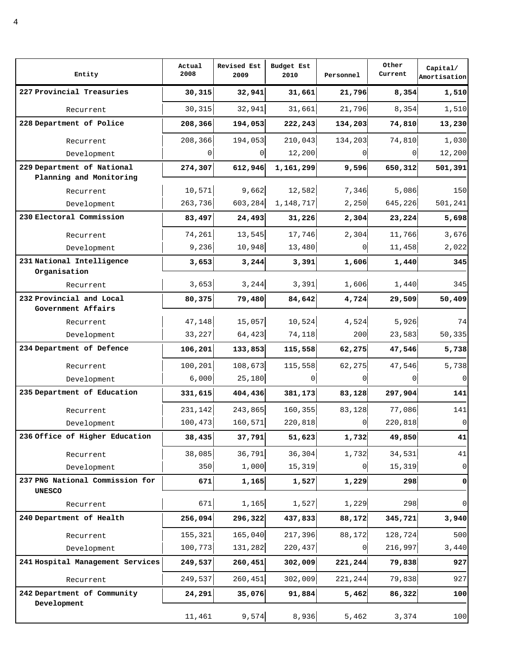| Entity                                           | Actual<br>2008 | Revised Est<br>2009 | Budget Est<br>2010 | Personnel | Other<br>Current | Capital/<br>Amortisation |
|--------------------------------------------------|----------------|---------------------|--------------------|-----------|------------------|--------------------------|
| 227 Provincial Treasuries                        | 30,315         | 32,941              | 31,661             | 21,796    | 8,354            | 1,510                    |
| Recurrent                                        | 30,315         | 32,941              | 31,661             | 21,796    | 8,354            | 1,510                    |
| 228 Department of Police                         | 208,366        | 194,053             | 222,243            | 134,203   | 74,810           | 13,230                   |
| Recurrent                                        | 208,366        | 194,053             | 210,043            | 134,203   | 74,810           | 1,030                    |
| Development                                      | $\Omega$       | 01                  | 12,200             |           | $\Omega$         | 12,200                   |
| 229 Department of National                       | 274,307        | 612,946             | 1,161,299          | 9,596     | 650,312          | 501,391                  |
| Planning and Monitoring                          |                |                     |                    |           |                  |                          |
| Recurrent                                        | 10,571         | 9,662               | 12,582             | 7,346     | 5,086            | 150                      |
| Development                                      | 263,736        | 603,284             | 1, 148, 717        | 2,250     | 645,226          | 501,241                  |
| 230 Electoral Commission                         | 83,497         | 24,493              | 31,226             | 2,304     | 23,224           | 5,698                    |
| Recurrent                                        | 74,261         | 13,545              | 17,746             | 2,304     | 11,766           | 3,676                    |
| Development                                      | 9,236          | 10,948              | 13,480             |           | 11,458           | 2,022                    |
| 231 National Intelligence                        | 3,653          | 3, 244              | 3,391              | 1,606     | 1,440            | 345                      |
| Organisation<br>Recurrent                        | 3,653          | 3, 244              | 3,391              | 1,606     | 1,440            | 345                      |
| 232 Provincial and Local                         | 80,375         | 79,480              | 84,642             | 4,724     | 29,509           | 50,409                   |
| Government Affairs                               |                |                     |                    |           |                  |                          |
| Recurrent                                        | 47,148         | 15,057              | 10,524             | 4,524     | 5,926            | 74                       |
| Development                                      | 33,227         | 64,423              | 74,118             | 200       | 23,583           | 50,335                   |
| 234 Department of Defence                        | 106,201        | 133,853             | 115,558            | 62,275    | 47,546           | 5,738                    |
| Recurrent                                        | 100,201        | 108,673             | 115,558            | 62,275    | 47,546           | 5,738                    |
| Development                                      | 6,000          | 25,180              | 0                  |           |                  | 0                        |
| 235 Department of Education                      | 331,615        | 404,436             | 381,173            | 83,128    | 297,904          | 141                      |
| Recurrent                                        | 231,142        | 243,865             | 160,355            | 83,128    | 77,086           | 141                      |
| Development                                      | 100,473        | 160,571             | 220,818            | 0         | 220,818          | $\mathsf 0$              |
| 236 Office of Higher Education                   | 38,435         | 37,791              | 51,623             | 1,732     | 49,850           | 41                       |
| Recurrent                                        | 38,085         | 36,791              | 36, 304            | 1,732     | 34,531           | 41                       |
| Development                                      | 350            | 1,000               | 15,319             |           | 15,319           | $\mathsf 0$              |
| 237 PNG National Commission for<br><b>UNESCO</b> | 671            | 1,165               | 1,527              | 1,229     | 298              | $\pmb{0}$                |
| Recurrent                                        | 671            | 1,165               | 1,527              | 1,229     | 298              | $\mathbf 0$              |
| 240 Department of Health                         | 256,094        | 296,322             | 437,833            | 88,172    | 345,721          | 3,940                    |
| Recurrent                                        | 155,321        | 165,040             | 217,396            | 88,172    | 128,724          | 500                      |
| Development                                      | 100,773        | 131,282             | 220,437            | $\Omega$  | 216,997          | 3,440                    |
| 241 Hospital Management Services                 | 249,537        | 260, 451            | 302,009            | 221,244   | 79,838           | 927                      |
| Recurrent                                        | 249,537        | 260, 451            | 302,009            | 221,244   | 79,838           | 927                      |
| 242 Department of Community                      | 24,291         | 35,076              | 91,884             | 5,462     | 86,322           | 100                      |
| Development                                      | 11,461         | 9,574               | 8,936              | 5,462     | 3,374            | 100                      |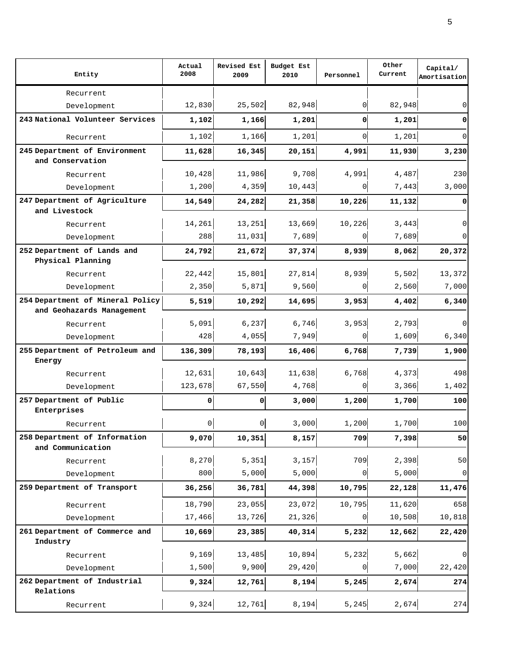| Entity                                           | Actual<br>2008 | Revised Est<br>2009 | Budget Est<br>2010 | Personnel | Other<br>Current | Capital/<br>Amortisation |
|--------------------------------------------------|----------------|---------------------|--------------------|-----------|------------------|--------------------------|
| Recurrent                                        |                |                     |                    |           |                  |                          |
| Development                                      | 12,830         | 25,502              | 82,948             | 0         | 82,948           | 0                        |
| 243 National Volunteer Services                  | 1,102          | 1,166               | 1,201              | 0         | 1,201            | 0                        |
| Recurrent                                        | 1,102          | 1,166               | 1,201              | $\Omega$  | 1,201            | $\Omega$                 |
| 245 Department of Environment                    | 11,628         | 16,345              | 20,151             | 4,991     | 11,930           | 3,230                    |
| and Conservation                                 |                |                     |                    |           |                  |                          |
| Recurrent                                        | 10,428         | 11,986              | 9,708              | 4,991     | 4,487            | 230                      |
| Development                                      | 1,200          | 4,359               | 10,443             | 0         | 7,443            | 3,000                    |
| 247 Department of Agriculture<br>and Livestock   | 14,549         | 24,282              | 21,358             | 10,226    | 11,132           | 0                        |
| Recurrent                                        | 14,261         | 13,251              | 13,669             | 10,226    | 3,443            | $\Omega$                 |
| Development                                      | 288            | 11,031              | 7,689              | 0         | 7,689            | 0                        |
| 252 Department of Lands and<br>Physical Planning | 24,792         | 21,672              | 37,374             | 8,939     | 8,062            | 20,372                   |
| Recurrent                                        | 22,442         | 15,801              | 27,814             | 8,939     | 5,502            | 13,372                   |
| Development                                      | 2,350          | 5,871               | 9,560              | $\Omega$  | 2,560            | 7,000                    |
| 254 Department of Mineral Policy                 | 5,519          | 10,292              | 14,695             | 3,953     | 4,402            | 6,340                    |
| and Geohazards Management                        |                |                     |                    |           |                  |                          |
| Recurrent                                        | 5,091          | 6, 237              | 6,746              | 3,953     | 2,793            | $\Omega$                 |
| Development                                      | 428            | 4,055               | 7,949              | $\Omega$  | 1,609            | 6,340                    |
| 255 Department of Petroleum and<br>Energy        | 136,309        | 78,193              | 16,406             | 6,768     | 7,739            | 1,900                    |
| Recurrent                                        | 12,631         | 10,643              | 11,638             | 6,768     | 4,373            | 498                      |
| Development                                      | 123,678        | 67,550              | 4,768              | 0         | 3,366            | 1,402                    |
| 257 Department of Public<br>Enterprises          | 0              | ٥I                  | 3,000              | 1,200     | 1,700            | 100                      |
| Recurrent                                        | 0              | $\circ$             | 3,000              | 1,200     | 1,700            | 100                      |
| 258 Department of Information                    | 9,070          | 10,351              | 8,157              | 709       | 7,398            | 50                       |
| and Communication                                |                |                     |                    |           |                  |                          |
| Recurrent                                        | 8,270          | 5,351               | 3,157              | 709       | 2,398            | 50                       |
| Development                                      | 800            | 5,000               | 5,000              | 0         | 5,000            | $\overline{0}$           |
| 259 Department of Transport                      | 36, 256        | 36,781              | 44,398             | 10,795    | 22,128           | 11,476                   |
| Recurrent                                        | 18,790         | 23,055              | 23,072             | 10,795    | 11,620           | 658                      |
| Development                                      | 17,466         | 13,726              | 21,326             | $\Omega$  | 10,508           | 10,818                   |
| 261 Department of Commerce and<br>Industry       | 10,669         | 23,385              | 40,314             | 5,232     | 12,662           | 22,420                   |
| Recurrent                                        | 9,169          | 13,485              | 10,894             | 5,232     | 5,662            | $\Omega$                 |
| Development                                      | 1,500          | 9,900               | 29,420             | 0         | 7,000            | 22,420                   |
| 262 Department of Industrial<br>Relations        | 9,324          | 12,761              | 8,194              | 5,245     | 2,674            | 274                      |
| Recurrent                                        | 9,324          | 12,761              | 8,194              | 5,245     | 2,674            | 274                      |